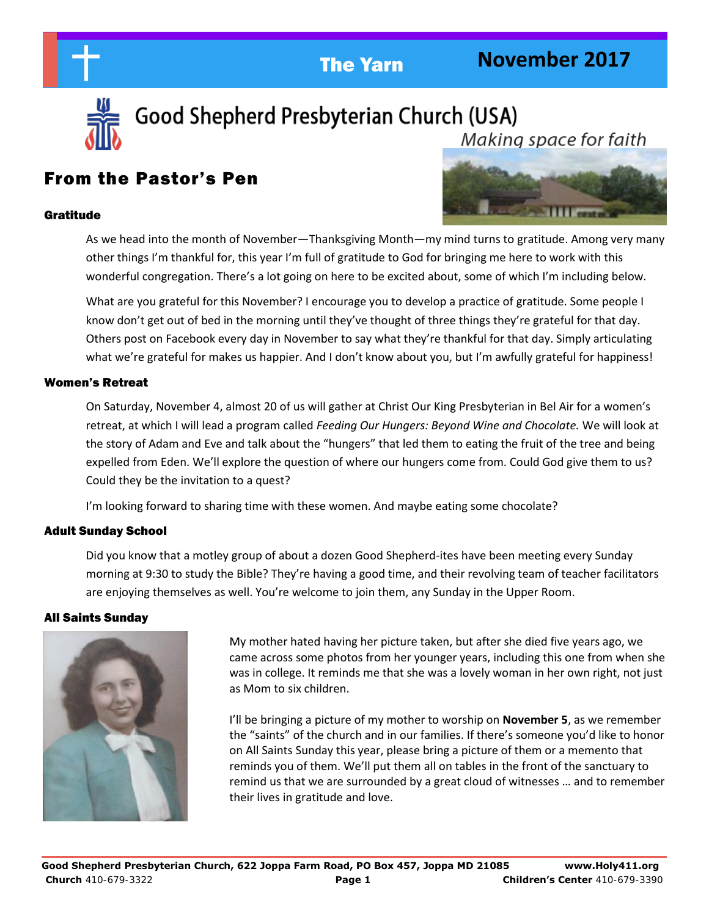



Good Shepherd Presbyterian Church (USA) Makina space for faith

# From the Pastor's Pen

#### Gratitude



As we head into the month of November—Thanksgiving Month—my mind turns to gratitude. Among very many other things I'm thankful for, this year I'm full of gratitude to God for bringing me here to work with this wonderful congregation. There's a lot going on here to be excited about, some of which I'm including below.

What are you grateful for this November? I encourage you to develop a practice of gratitude. Some people I know don't get out of bed in the morning until they've thought of three things they're grateful for that day. Others post on Facebook every day in November to say what they're thankful for that day. Simply articulating what we're grateful for makes us happier. And I don't know about you, but I'm awfully grateful for happiness!

#### Women's Retreat

On Saturday, November 4, almost 20 of us will gather at Christ Our King Presbyterian in Bel Air for a women's retreat, at which I will lead a program called *Feeding Our Hungers: Beyond Wine and Chocolate.* We will look at the story of Adam and Eve and talk about the "hungers" that led them to eating the fruit of the tree and being expelled from Eden. We'll explore the question of where our hungers come from. Could God give them to us? Could they be the invitation to a quest?

I'm looking forward to sharing time with these women. And maybe eating some chocolate?

#### Adult Sunday School

Did you know that a motley group of about a dozen Good Shepherd-ites have been meeting every Sunday morning at 9:30 to study the Bible? They're having a good time, and their revolving team of teacher facilitators are enjoying themselves as well. You're welcome to join them, any Sunday in the Upper Room.

#### All Saints Sunday



 My mother hated having her picture taken, but after she died five years ago, we came across some photos from her younger years, including this one from when she was in college. It reminds me that she was a lovely woman in her own right, not just as Mom to six children.

I'll be bringing a picture of my mother to worship on **November 5**, as we remember the "saints" of the church and in our families. If there's someone you'd like to honor on All Saints Sunday this year, please bring a picture of them or a memento that reminds you of them. We'll put them all on tables in the front of the sanctuary to remind us that we are surrounded by a great cloud of witnesses … and to remember their lives in gratitude and love.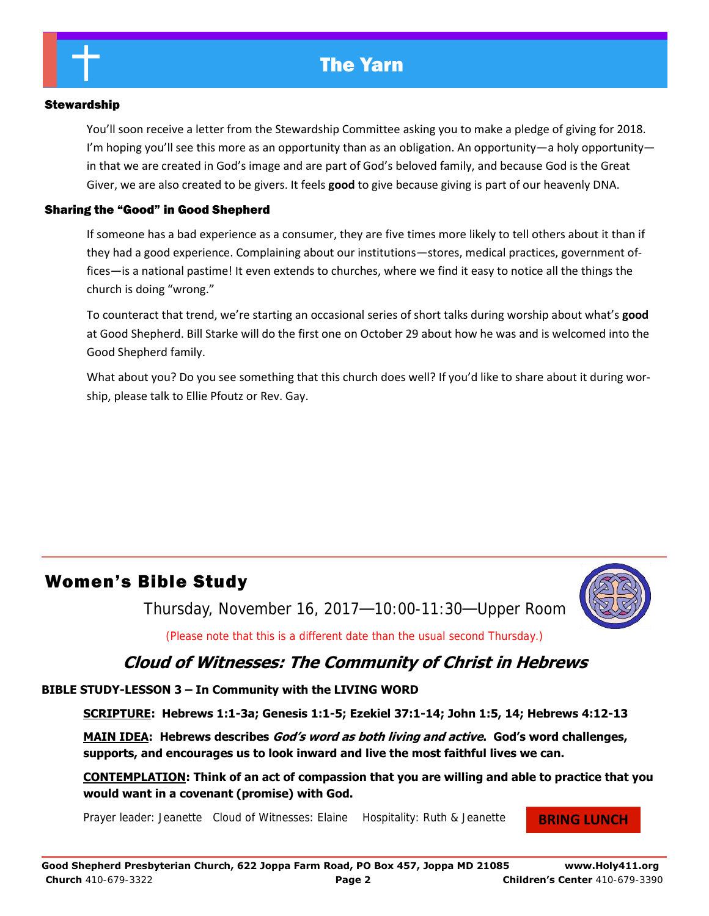#### Stewardship

You'll soon receive a letter from the Stewardship Committee asking you to make a pledge of giving for 2018. I'm hoping you'll see this more as an opportunity than as an obligation. An opportunity—a holy opportunity in that we are created in God's image and are part of God's beloved family, and because God is the Great Giver, we are also created to be givers. It feels **good** to give because giving is part of our heavenly DNA.

#### Sharing the "Good" in Good Shepherd

If someone has a bad experience as a consumer, they are five times more likely to tell others about it than if they had a good experience. Complaining about our institutions—stores, medical practices, government offices—is a national pastime! It even extends to churches, where we find it easy to notice all the things the church is doing "wrong."

To counteract that trend, we're starting an occasional series of short talks during worship about what's **good**  at Good Shepherd. Bill Starke will do the first one on October 29 about how he was and is welcomed into the Good Shepherd family.

What about you? Do you see something that this church does well? If you'd like to share about it during worship, please talk to Ellie Pfoutz or Rev. Gay.

## Women's Bible Study

Thursday, November 16, 2017—10:00-11:30—Upper Room



(Please note that this is a different date than the usual second Thursday.)

# **Cloud of Witnesses: The Community of Christ in Hebrews**

**BIBLE STUDY-LESSON 3 – In Community with the LIVING WORD** 

**SCRIPTURE: Hebrews 1:1-3a; Genesis 1:1-5; Ezekiel 37:1-14; John 1:5, 14; Hebrews 4:12-13**

**MAIN IDEA: Hebrews describes God's word as both living and active. God's word challenges, supports, and encourages us to look inward and live the most faithful lives we can.** 

**CONTEMPLATION: Think of an act of compassion that you are willing and able to practice that you would want in a covenant (promise) with God.** 

Prayer leader: Jeanette Cloud of Witnesses: Elaine Hospitality: Ruth & Jeanette

#### **BRING LUNCH**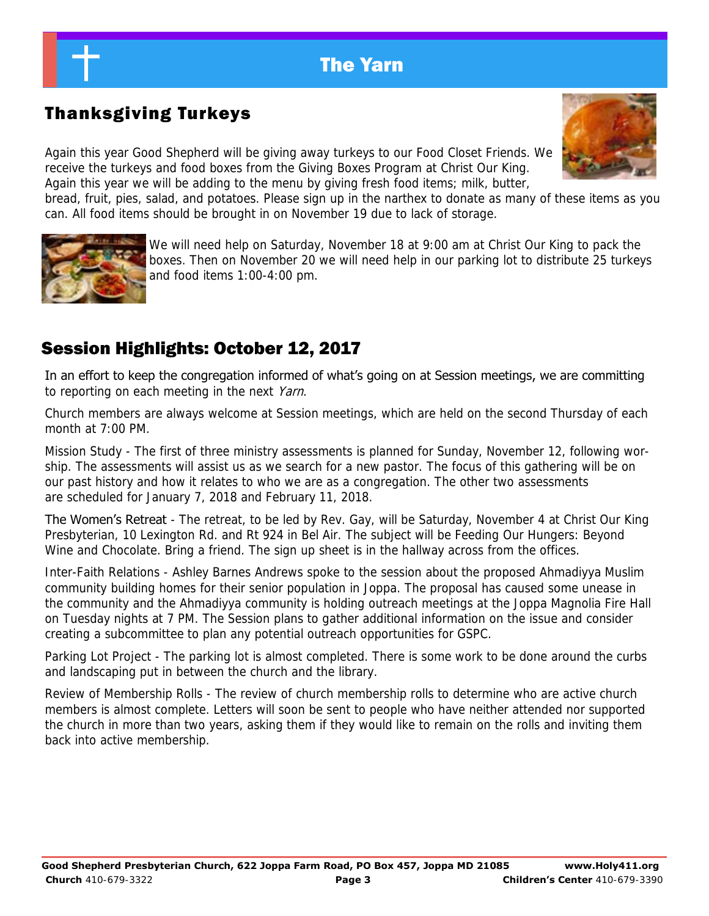# Thanksgiving Turkeys

Again this year Good Shepherd will be giving away turkeys to our Food Closet Friends. We receive the turkeys and food boxes from the Giving Boxes Program at Christ Our King. Again this year we will be adding to the menu by giving fresh food items; milk, butter,

bread, fruit, pies, salad, and potatoes. Please sign up in the narthex to donate as many of these items as you can. All food items should be brought in on November 19 due to lack of storage.



We will need help on Saturday, November 18 at 9:00 am at Christ Our King to pack the boxes. Then on November 20 we will need help in our parking lot to distribute 25 turkeys and food items 1:00-4:00 pm.

# Session Highlights: October 12, 2017

In an effort to keep the congregation informed of what's going on at Session meetings, we are committing to reporting on each meeting in the next Yarn.

Church members are always welcome at Session meetings, which are held on the second Thursday of each month at 7:00 PM.

Mission Study - The first of three ministry assessments is planned for Sunday, November 12, following worship. The assessments will assist us as we search for a new pastor. The focus of this gathering will be on our past history and how it relates to who we are as a congregation. The other two assessments are scheduled for January 7, 2018 and February 11, 2018.

**The Women's Retreat** - The retreat, to be led by Rev. Gay, will be Saturday, November 4 at Christ Our King Presbyterian, 10 Lexington Rd. and Rt 924 in Bel Air. The subject will be Feeding Our Hungers: Beyond Wine and Chocolate. Bring a friend. The sign up sheet is in the hallway across from the offices.

Inter-Faith Relations - Ashley Barnes Andrews spoke to the session about the proposed Ahmadiyya Muslim community building homes for their senior population in Joppa. The proposal has caused some unease in the community and the Ahmadiyya community is holding outreach meetings at the Joppa Magnolia Fire Hall on Tuesday nights at 7 PM. The Session plans to gather additional information on the issue and consider creating a subcommittee to plan any potential outreach opportunities for GSPC.

Parking Lot Project - The parking lot is almost completed. There is some work to be done around the curbs and landscaping put in between the church and the library.

Review of Membership Rolls - The review of church membership rolls to determine who are active church members is almost complete. Letters will soon be sent to people who have neither attended nor supported the church in more than two years, asking them if they would like to remain on the rolls and inviting them back into active membership.

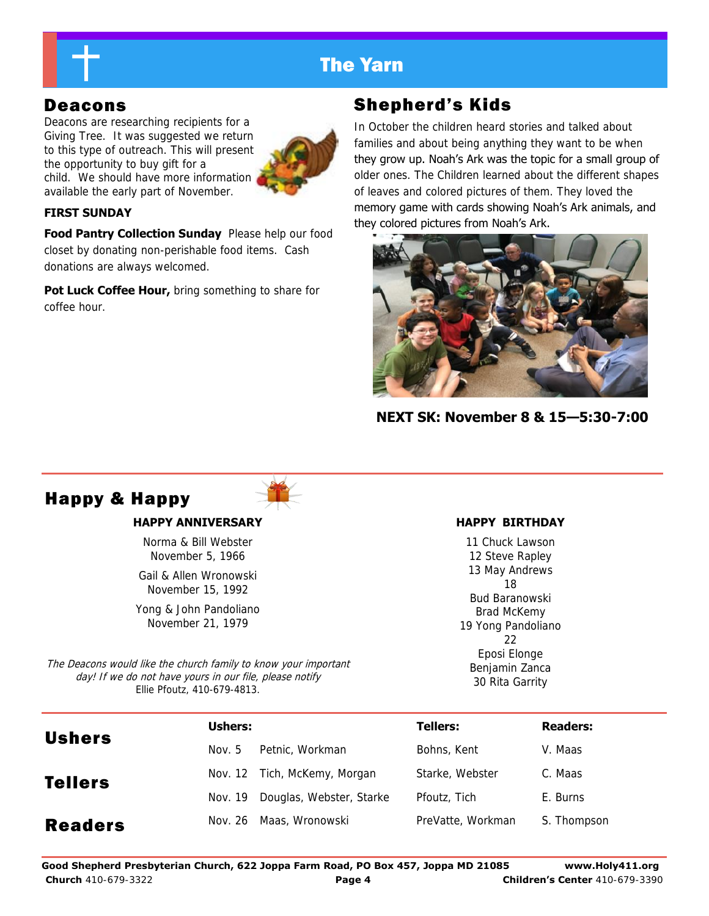

Deacons are researching recipients for a Giving Tree. It was suggested we return to this type of outreach. This will present the opportunity to buy gift for a child. We should have more information available the early part of November.



### **FIRST SUNDAY**

**Food Pantry Collection Sunday** Please help our food closet by donating non-perishable food items. Cash donations are always welcomed.

**Pot Luck Coffee Hour, bring something to share for** coffee hour.

# Deacons Shepherd's Kids

In October the children heard stories and talked about families and about being anything they want to be when they grow up. Noah's Ark was the topic for a small group of older ones. The Children learned about the different shapes of leaves and colored pictures of them. They loved the memory game with cards showing Noah's Ark animals, and they colored pictures from Noah's Ark.



**NEXT SK: November 8 & 15—5:30-7:00**

# Happy & Happy

#### **HAPPY ANNIVERSARY**

Norma & Bill Webster November 5, 1966

Gail & Allen Wronowski November 15, 1992

Yong & John Pandoliano November 21, 1979

The Deacons would like the church family to know your important day! If we do not have yours in our file, please notify Ellie Pfoutz, 410-679-4813.

### **HAPPY BIRTHDAY**

11 Chuck Lawson 12 Steve Rapley 13 May Andrews 18 Bud Baranowski Brad McKemy 19 Yong Pandoliano  $22$ Eposi Elonge Benjamin Zanca 30 Rita Garrity

| <b>Ushers</b>  | Ushers: |                              | <b>Tellers:</b>   | <b>Readers:</b> |
|----------------|---------|------------------------------|-------------------|-----------------|
|                | Nov. 5  | Petnic, Workman              | Bohns, Kent       | V. Maas         |
| <b>Tellers</b> |         | Nov. 12 Tich, McKemy, Morgan | Starke, Webster   | C. Maas         |
|                | Nov. 19 | Douglas, Webster, Starke     | Pfoutz, Tich      | E. Burns        |
| <b>Readers</b> | Nov. 26 | Maas, Wronowski              | PreVatte, Workman | S. Thompson     |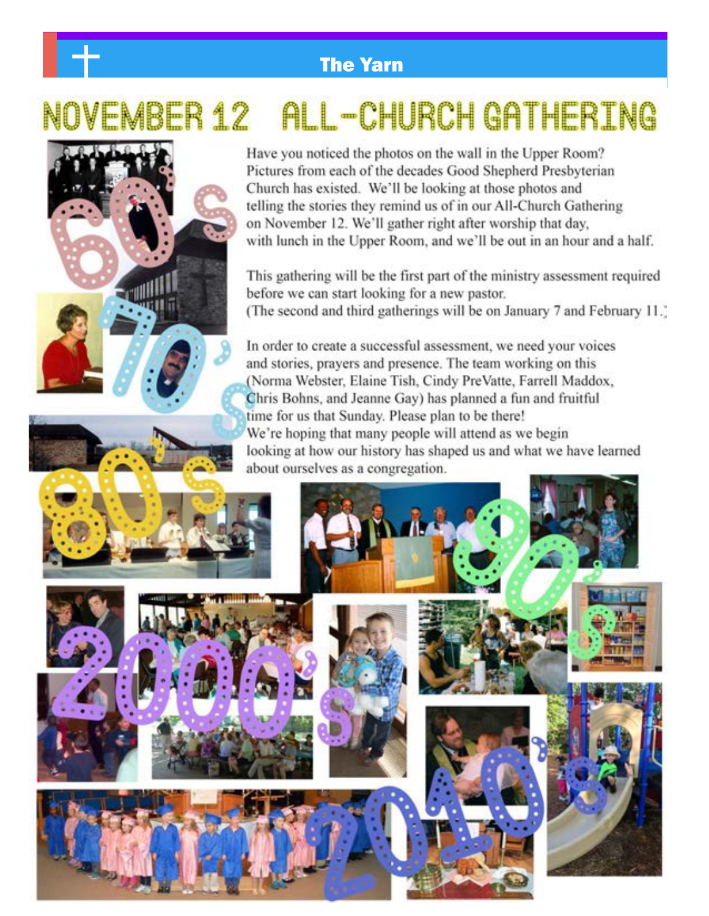# **L-CHURCH GATHERING**





Have you noticed the photos on the wall in the Upper Room? Pictures from each of the decades Good Shepherd Presbyterian Church has existed. We'll be looking at those photos and telling the stories they remind us of in our All-Church Gathering on November 12. We'll gather right after worship that day, with lunch in the Upper Room, and we'll be out in an hour and a half.

This gathering will be the first part of the ministry assessment required before we can start looking for a new pastor. (The second and third gatherings will be on January 7 and February 11.)

In order to create a successful assessment, we need your voices and stories, prayers and presence. The team working on this (Norma Webster, Elaine Tish, Cindy PreVatte, Farrell Maddox, Chris Bohns, and Jeanne Gay) has planned a fun and fruitful time for us that Sunday. Please plan to be there! We're hoping that many people will attend as we begin looking at how our history has shaped us and what we have learned about ourselves as a congregation.